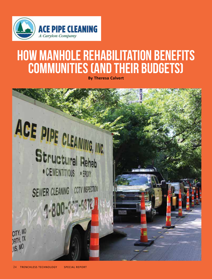

## How Manhole Rehabilitation Benefits Communities (and Their Budgets)

**By Theresa Calvert**

# ACE PIPE CLEANING, INC. Structural Rehab • CEMENTITIOUS • EPOXY

**SEWER CLEANING CCTV INSPECTION** 4-800-321-5372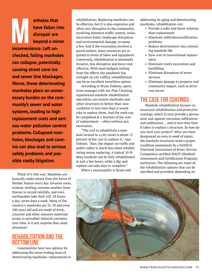anholes that<br>
have fallen in<br>
disrepair are<br>
beyond a min<br>
inconvenience Left un**have fallen into disrepair are beyond a minor inconvenience. Left unchecked, failing manholes can collapse, potentially causing street cave-ins and sewer line blockages. Worse, these deteriorating manholes place an unnecessary burden on the community's sewer and water systems, leading to high replacement costs and serious water pollution control problems. Collapsed manholes, blockages and caveins can also lead to serious safety problems and possible costly litigation.** 

Think of it this way: Manholes are basically under attack from the forces of Mother Nature every day. Invasive roots, erosion, settling, extreme weather from freezes to record rainfalls, and even earthquakes take their toll, 24 hours a day, seven days a week. Many of the country's manholes are 25, 50 and even 100 years old and are made of brick, concrete and other masonry materials prone to microbial-induced corrosion over time. Is it any surprise they need attention?

#### Rehabilitation and the **BOTTOM LINE**

Communities have two options for addressing the never-ending issue of deteriorating manholes: replacement or rehabilitation. Replacing manholes can be effective, but it is also expensive and often very disruptive to the community, involving intensive traffic control, noise, excavation holes, landscape disruption and environmental damage, to name a few. And if the excavation involves a paved surface, many resources are required in terms of labor and equipment. Conversely, rehabilitation is minimally invasive, less disruptive and more costeffective. With most budgets reeling from the effects the pandemic has wrought on city coffers, rehabilitation can be an excellent trenchless option.

According to Bryan Dobson, operations manager with Ace Pipe Cleaning, experienced manhole rehabilitation specialists can restore manholes and other structures to better-than-new condition in less time than it would take to replace them. And the work can be completed at a fraction of the cost of replacement — often without any excavation.

"The cost to rehabilitate a manhole located in a city street is about 15 percent of the cost to replace it," says Dobson. "Also, the impact on traffic and public safety is much less when rehabilitating versus replacing. A typical 10-ftdeep manhole can be fully rehabilitated in just a few hours, while a dig-andreplace can take days to complete."

When a municipality is faced with

addressing its aging and deteriorating manholes, rehabilitation can:

- Provide a safer and faster solution than replacement
- Eliminate infiltration/exfiltration problems
- Reduce deterioration rate, extending manhole life
- Save cost of conventional replacement
- Eliminate costly excavation and backfilling
- Eliminate disruption of sewer services
- Eliminate damage to property and community impact, such as driveway access

#### The Case for Coatings

Manhole rehabilitation focuses on structural rehabilitation and protective coatings, which in turn provide a permanent seal against corrosion, infiltration and exfiltration … and in less time than it takes to replace a structure. So how do you start your project? After you have designated an area in need of repair, the manhole structures need a proper condition assessment by a NASSCO (National Association of Sewer Service Companies) certified MACP (Manhole Assessment and Certification Program) technician. The following are some of the rehabilitation options that can be specified and provided, depending on

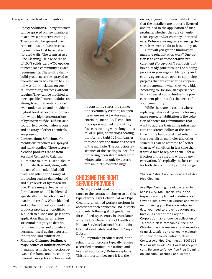the specific needs of each manhole:

- **• Epoxy Solutions.** Epoxy products can be sprayed on new manholes to achieve a protective coating. They can also be sprayed over cementitious products in existing manholes that have deteriorated walls. The teams at Ace Pipe Cleaning use a wide range of 100% solids, zero-VOC epoxies to meet each community's exact requirements. These ultra-highbuild products can be sprayed or troweled on to achieve up to 250 mil wet-film thickness on vertical or overhang surfaces without sagging. They can be modified to meet specific flexural modulus and strength requirements, cure fast even under water, and provide the highest level of corrosion protection where high concentrations of hydrogen sulfide, sulfuric acid, sodium hydroxide, hydrocarbons and an array of other chemicals are present.
- **• Cementitious Solutions.** Cementitious products are sprayed and hand-applied. These factoryblended products range from Portland Cement to Calcium Aluminate to Pure-Fused Calcium Aluminate Base and, along with the use of anti-microbial additives, can offer a wide range of protection against damaging pH and high levels of hydrogen sulfide. These unique, high-strength formulations should be blended specifically for the job at hand for maximum results. When blended and applied properly, cementitious products provide a monolithic 1/2-inch to 3-inch one-pass spray application that helps restore structural integrity to deteriorating manholes and provide a permanent seal against corrosion, infiltration and exfiltration.
- **• Manhole Chimney Sealing.** A major source of infiltration/inflow in manholes is the connection between the frame and the chimney. Freeze/thaw cycles and heavy traf-



fic constantly stress the connection, eventually creating an opening where surface water readily enters the manhole. Technicians use a spray-applied monolithic, fast-cure coating with elongations of 500% plus, delivering a coating that forms a tight 125-mil barrier that connects the frame to the rest of the manhole. The corrosion resistance of the coating is ideal for protecting open storm inlets from winter salts that quickly deteriorate an inlet's concrete rings.

#### Choosing the Right Service Provider

Safety should be of upmost importance to the contractor chosen to do this type of work, says Dobson. "At Ace Pipe Cleaning, all skilled workers perform in accordance with applicable OSHA safety standards, following strict guidelines for confined-space entry in accordance with the U.S. Department of Health and Human Services/National Institute for Occupational Safety and Health," says Dobson.

"All reputable products used in the rehabilitation process typically require a certified manufacturer-trained and licensed applicator," Dobson explains. This is important because it lets the

owner, engineer or municipality know that the installers are properly licensed and trained in the application of such products, whether they are cementitious, epoxy and/or chimney liner products. Dobson also suggests ensuring the work is warranted for at least one year.

How will you get the funding for manhole rehabilitation work? One option is to consider cooperative procurement ("piggyback") contracts that have already gone through the bidding process in your region. Many city and county agencies are open to approving projects that are considering cooperative procurement when they were bid. According to Dobson, an experienced firm can assist you in finding the procurement plan that fits the needs of your community.

While there are occasions where replacing deteriorating manholes may make sense, rehabilitation is the solution of choice for communities that want to address their aging infrastructure and stretch dollars at the same time. In the hands of skilled rehabilitation specialists, manholes and other structures can be restored to "better than new" condition in less time than it would take to replace them — for a fraction of the cost and without any excavation. It's typically the best choice for both the community and its budget.

**Theresa Calvert** is vice president of Ace Pipe Cleaning.

Ace Pipe Cleaning, headquartered in Kansas City, Mo., specializes in the inspection and planned maintenance of sewer pipes, sewer structures and water mains, giving you the knowledge and data you need to prevent backups and breaks. As part of the Carylon Corporation, a nationwide collection of 14 best-in-class companies, Ace Pipe Cleaning has the resources and expertise to quickly, safely and correctly maintain your environmental infrastructure. Contact Ace Pipe Cleaning at (800) 325- 9372 or (816) 241-2891 or visit acepipe. com. Be sure to follow Ace Pipe Cleaning on LinkedIn, Facebook and Twitter.